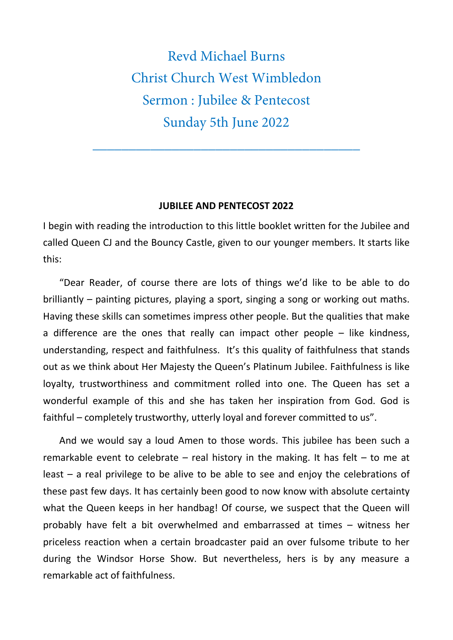Revd Michael Burns Christ Church West Wimbledon Sermon : Jubilee & Pentecost Sunday 5th June 2022

\_\_\_\_\_\_\_\_\_\_\_\_\_\_\_\_\_\_\_\_\_\_\_\_\_\_\_\_\_\_\_\_\_\_\_\_\_

## **JUBILEE AND PENTECOST 2022**

I begin with reading the introduction to this little booklet written for the Jubilee and called Queen CJ and the Bouncy Castle, given to our younger members. It starts like this:

"Dear Reader, of course there are lots of things we'd like to be able to do brilliantly – painting pictures, playing a sport, singing a song or working out maths. Having these skills can sometimes impress other people. But the qualities that make a difference are the ones that really can impact other people  $-$  like kindness, understanding, respect and faithfulness. It's this quality of faithfulness that stands out as we think about Her Majesty the Queen's Platinum Jubilee. Faithfulness is like loyalty, trustworthiness and commitment rolled into one. The Queen has set a wonderful example of this and she has taken her inspiration from God. God is faithful – completely trustworthy, utterly loyal and forever committed to us".

And we would say a loud Amen to those words. This jubilee has been such a remarkable event to celebrate – real history in the making. It has felt – to me at least – a real privilege to be alive to be able to see and enjoy the celebrations of these past few days. It has certainly been good to now know with absolute certainty what the Queen keeps in her handbag! Of course, we suspect that the Queen will probably have felt a bit overwhelmed and embarrassed at times – witness her priceless reaction when a certain broadcaster paid an over fulsome tribute to her during the Windsor Horse Show. But nevertheless, hers is by any measure a remarkable act of faithfulness.